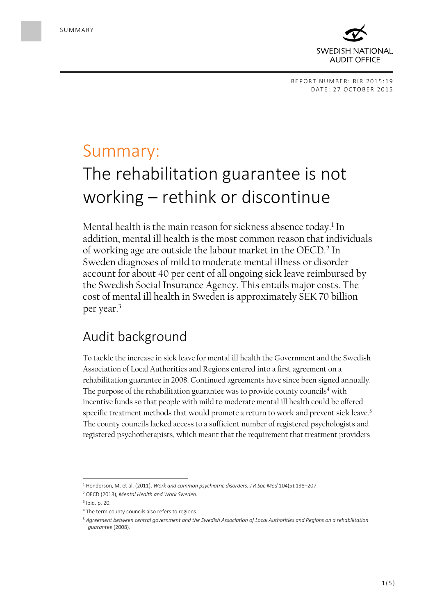

## Summary:

# The rehabilitation guarantee is not working – rethink or discontinue

Mental health is the main reason for sickness absence today.<sup>1</sup> In addition, mental ill health is the most common reason that individuals of working age are outside the labour market in the OECD.<sup>2</sup> In Sweden diagnoses of mild to moderate mental illness or disorder account for about 40 per cent of all ongoing sick leave reimbursed by the Swedish Social Insurance Agency. This entails major costs. The cost of mental ill health in Sweden is approximately SEK 70 billion per year.<sup>3</sup>

## Audit background

To tackle the increase in sick leave for mental ill health the Government and the Swedish Association of Local Authorities and Regions entered into a first agreement on a rehabilitation guarantee in 2008. Continued agreements have since been signed annually. The purpose of the rehabilitation guarantee was to provide county councils<sup>4</sup> with incentive funds so that people with mild to moderate mental ill health could be offered specific treatment methods that would promote a return to work and prevent sick leave.<sup>5</sup> The county councils lacked access to a sufficient number of registered psychologists and registered psychotherapists, which meant that the requirement that treatment providers

 $\overline{\phantom{a}}$ 

<sup>1</sup> Henderson, M. et al. (2011), *Work and common psychiatric disorders. J R Soc Med* 104(5):198–207.

<sup>2</sup> OECD (2013), *Mental Health and Work Sweden.*

<sup>3</sup> Ibid. p. 20.

<sup>&</sup>lt;sup>4</sup> The term county councils also refers to regions.

<sup>5</sup> *Agreement between central government and the Swedish Association of Local Authorities and Regions on a rehabilitation guarantee* (2008).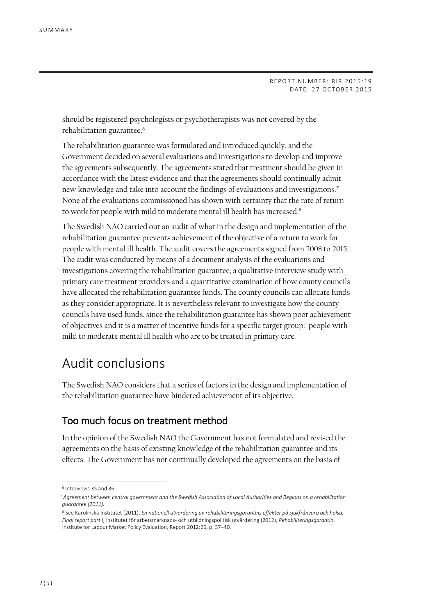should be registered psychologists or psychotherapists was not covered by the rehabilitation guarantee.<sup>6</sup>

The rehabilitation guarantee was formulated and introduced quickly, and the Government decided on several evaluations and investigations to develop and improve the agreements subsequently. The agreements stated that treatment should be given in accordance with the latest evidence and that the agreements should continually admit new knowledge and take into account the findings of evaluations and investigations.<sup>7</sup> None of the evaluations commissioned has shown with certainty that the rate of return to work for people with mild to moderate mental ill health has increased.<sup>8</sup>

The Swedish NAO carried out an audit of what in the design and implementation of the rehabilitation guarantee prevents achievement of the objective of a return to work for people with mental ill health. The audit covers the agreements signed from 2008 to 2015. The audit was conducted by means of a document analysis of the evaluations and investigations covering the rehabilitation guarantee, a qualitative interview study with primary care treatment providers and a quantitative examination of how county councils have allocated the rehabilitation guarantee funds. The county councils can allocate funds as they consider appropriate. It is nevertheless relevant to investigate how the county councils have used funds, since the rehabilitation guarantee has shown poor achievement of objectives and it is a matter of incentive funds for a specific target group: people with mild to moderate mental ill health who are to be treated in primary care.

## Audit conclusions

The Swedish NAO considers that a series of factors in the design and implementation of the rehabilitation guarantee have hindered achievement of its objective.

#### Too much focus on treatment method

In the opinion of the Swedish NAO the Government has not formulated and revised the agreements on the basis of existing knowledge of the rehabilitation guarantee and its effects. The Government has not continually developed the agreements on the basis of

 $\overline{a}$ 

<sup>6</sup> Interviews 35 and 36.

<sup>7</sup> *Agreement between central government and the Swedish Association of Local Authorities and Regions on a rehabilitation guarantee (2011).*

<sup>8</sup> See Karolinska Institutet (2011), *En nationell utvärdering av rehabiliteringsgarantins effekter på sjukfrånvaro och hälsa. Final report part I*; Institutet för arbetsmarknads- och utbildningspolitisk utvärdering (2012), *Rehabiliteringsgarantin*. Institute for Labour Market Policy Evaluation, Report 2012:26, p. 37–40.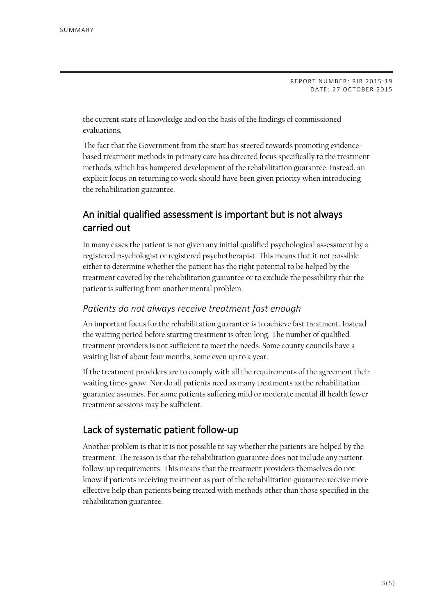the current state of knowledge and on the basis of the findings of commissioned evaluations.

The fact that the Government from the start has steered towards promoting evidencebased treatment methods in primary care has directed focus specifically to the treatment methods, which has hampered development of the rehabilitation guarantee. Instead, an explicit focus on returning to work should have been given priority when introducing the rehabilitation guarantee.

#### An initial qualified assessment is important but is not always carried out

In many cases the patient is not given any initial qualified psychological assessment by a registered psychologist or registered psychotherapist. This means that it not possible either to determine whether the patient has the right potential to be helped by the treatment covered by the rehabilitation guarantee or to exclude the possibility that the patient is suffering from another mental problem.

#### *Patients do not always receive treatment fast enough*

An important focus for the rehabilitation guarantee is to achieve fast treatment. Instead the waiting period before starting treatment is often long. The number of qualified treatment providers is not sufficient to meet the needs. Some county councils have a waiting list of about four months, some even up to a year.

If the treatment providers are to comply with all the requirements of the agreement their waiting times grow. Nor do all patients need as many treatments as the rehabilitation guarantee assumes. For some patients suffering mild or moderate mental ill health fewer treatment sessions may be sufficient.

#### Lack of systematic patient follow-up

Another problem is that it is not possible to say whether the patients are helped by the treatment. The reason is that the rehabilitation guarantee does not include any patient follow-up requirements. This means that the treatment providers themselves do not know if patients receiving treatment as part of the rehabilitation guarantee receive more effective help than patients being treated with methods other than those specified in the rehabilitation guarantee.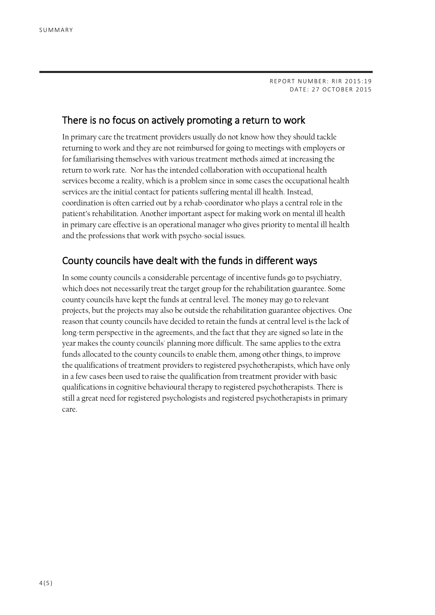#### There is no focus on actively promoting a return to work

In primary care the treatment providers usually do not know how they should tackle returning to work and they are not reimbursed for going to meetings with employers or for familiarising themselves with various treatment methods aimed at increasing the return to work rate. Nor has the intended collaboration with occupational health services become a reality, which is a problem since in some cases the occupational health services are the initial contact for patients suffering mental ill health. Instead, coordination is often carried out by a rehab-coordinator who plays a central role in the patient's rehabilitation. Another important aspect for making work on mental ill health in primary care effective is an operational manager who gives priority to mental ill health and the professions that work with psycho-social issues.

#### County councils have dealt with the funds in different ways

In some county councils a considerable percentage of incentive funds go to psychiatry, which does not necessarily treat the target group for the rehabilitation guarantee. Some county councils have kept the funds at central level. The money may go to relevant projects, but the projects may also be outside the rehabilitation guarantee objectives. One reason that county councils have decided to retain the funds at central level is the lack of long-term perspective in the agreements, and the fact that they are signed so late in the year makes the county councils' planning more difficult. The same applies to the extra funds allocated to the county councils to enable them, among other things, to improve the qualifications of treatment providers to registered psychotherapists, which have only in a few cases been used to raise the qualification from treatment provider with basic qualifications in cognitive behavioural therapy to registered psychotherapists. There is still a great need for registered psychologists and registered psychotherapists in primary care.